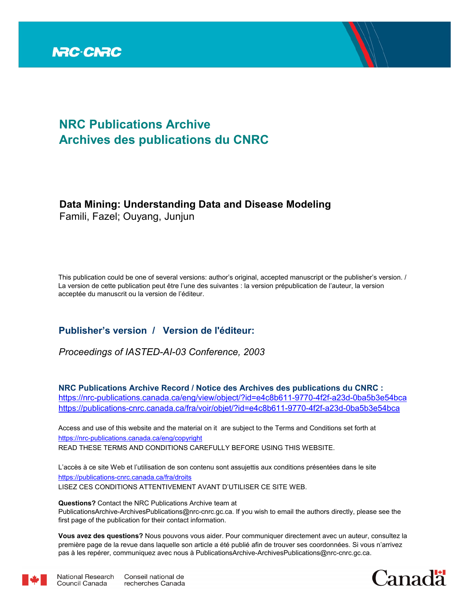

# **NRC Publications Archive Archives des publications du CNRC**

# **Data Mining: Understanding Data and Disease Modeling**

Famili, Fazel; Ouyang, Junjun

This publication could be one of several versions: author's original, accepted manuscript or the publisher's version. / La version de cette publication peut être l'une des suivantes : la version prépublication de l'auteur, la version acceptée du manuscrit ou la version de l'éditeur.

# **Publisher's version / Version de l'éditeur:**

*Proceedings of IASTED-AI-03 Conference, 2003*

**NRC Publications Archive Record / Notice des Archives des publications du CNRC :** https://nrc-publications.canada.ca/eng/view/object/?id=e4c8b611-9770-4f2f-a23d-0ba5b3e54bca https://publications-cnrc.canada.ca/fra/voir/objet/?id=e4c8b611-9770-4f2f-a23d-0ba5b3e54bca

READ THESE TERMS AND CONDITIONS CAREFULLY BEFORE USING THIS WEBSITE. https://nrc-publications.canada.ca/eng/copyright Access and use of this website and the material on it are subject to the Terms and Conditions set forth at

https://publications-cnrc.canada.ca/fra/droits L'accès à ce site Web et l'utilisation de son contenu sont assujettis aux conditions présentées dans le site LISEZ CES CONDITIONS ATTENTIVEMENT AVANT D'UTILISER CE SITE WEB.

**Questions?** Contact the NRC Publications Archive team at PublicationsArchive-ArchivesPublications@nrc-cnrc.gc.ca. If you wish to email the authors directly, please see the first page of the publication for their contact information.

**Vous avez des questions?** Nous pouvons vous aider. Pour communiquer directement avec un auteur, consultez la première page de la revue dans laquelle son article a été publié afin de trouver ses coordonnées. Si vous n'arrivez pas à les repérer, communiquez avec nous à PublicationsArchive-ArchivesPublications@nrc-cnrc.gc.ca.



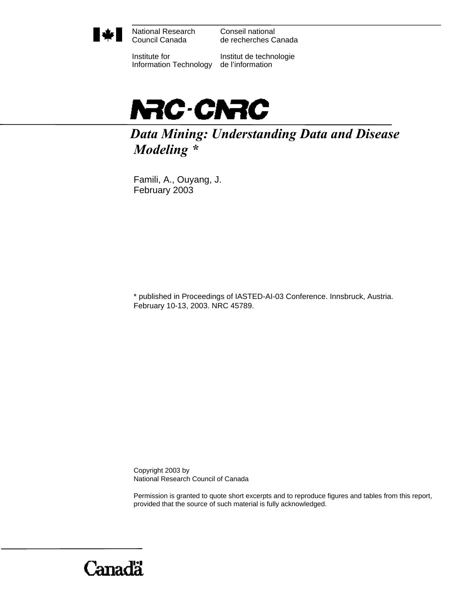

National Research Council Canada

Conseil national de recherches Canada

Institute for Information Technology de l'information

Institut de technologie



*Data Mining: Understanding Data and Disease Modeling \** 

Famili, A., Ouyang, J. February 2003

\* published in Proceedings of IASTED-AI-03 Conference. Innsbruck, Austria. February 10-13, 2003. NRC 45789.

Copyright 2003 by National Research Council of Canada

Permission is granted to quote short excerpts and to reproduce figures and tables from this report, provided that the source of such material is fully acknowledged.

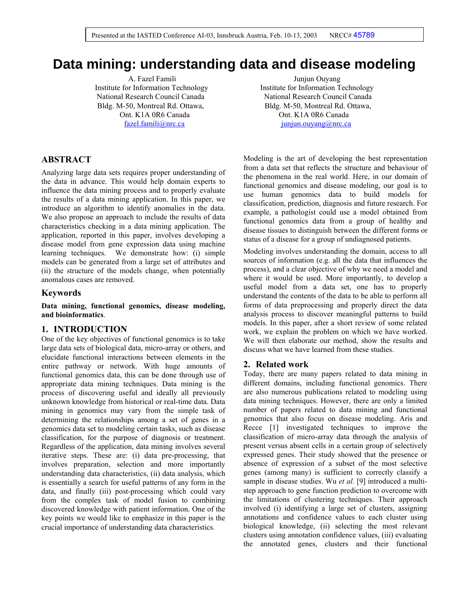# **Data mining: understanding data and disease modeling**

A. Fazel Famili Junjun Ouyang Institute for Information Technology Institute for Information Technology National Research Council Canada National Research Council Canada Bldg. M-50, Montreal Rd. Ottawa, Bldg. M-50, Montreal Rd. Ottawa, Ont. K1A 0R6 Canada Ont. K1A 0R6 Canada

fazel.famili@nrc.ca iuniun.ouyang@nrc.ca

# **ABSTRACT**

Analyzing large data sets requires proper understanding of the data in advance. This would help domain experts to influence the data mining process and to properly evaluate the results of a data mining application. In this paper, we introduce an algorithm to identify anomalies in the data. We also propose an approach to include the results of data characteristics checking in a data mining application. The application, reported in this paper, involves developing a disease model from gene expression data using machine learning techniques. We demonstrate how: (i) simple models can be generated from a large set of attributes and (ii) the structure of the models change, when potentially anomalous cases are removed.

#### **Keywords**

**Data mining, functional genomics, disease modeling, and bioinformatics**.

#### **1. INTRODUCTION**

One of the key objectives of functional genomics is to take large data sets of biological data, micro-array or others, and elucidate functional interactions between elements in the entire pathway or network. With huge amounts of functional genomics data, this can be done through use of appropriate data mining techniques. Data mining is the process of discovering useful and ideally all previously unknown knowledge from historical or real-time data. Data mining in genomics may vary from the simple task of determining the relationships among a set of genes in a genomics data set to modeling certain tasks, such as disease classification, for the purpose of diagnosis or treatment. Regardless of the application, data mining involves several iterative steps. These are: (i) data pre-processing, that involves preparation, selection and more importantly understanding data characteristics, (ii) data analysis, which is essentially a search for useful patterns of any form in the data, and finally (iii) post-processing which could vary from the complex task of model fusion to combining discovered knowledge with patient information. One of the key points we would like to emphasize in this paper is the crucial importance of understanding data characteristics.

Modeling is the art of developing the best representation from a data set that reflects the structure and behaviour of the phenomena in the real world. Here, in our domain of functional genomics and disease modeling, our goal is to use human genomics data to build models for classification, prediction, diagnosis and future research. For example, a pathologist could use a model obtained from functional genomics data from a group of healthy and disease tissues to distinguish between the different forms or status of a disease for a group of undiagnosed patients.

Modeling involves understanding the domain, access to all sources of information (e.g. all the data that influences the process), and a clear objective of why we need a model and where it would be used. More importantly, to develop a useful model from a data set, one has to properly understand the contents of the data to be able to perform all forms of data preprocessing and properly direct the data analysis process to discover meaningful patterns to build models. In this paper, after a short review of some related work, we explain the problem on which we have worked. We will then elaborate our method, show the results and discuss what we have learned from these studies.

### **2. Related work**

Today, there are many papers related to data mining in different domains, including functional genomics. There are also numerous publications related to modeling using data mining techniques. However, there are only a limited number of papers related to data mining and functional genomics that also focus on disease modeling. Aris and Recce [1] investigated techniques to improve the classification of micro-array data through the analysis of present versus absent cells in a certain group of selectively expressed genes. Their study showed that the presence or absence of expression of a subset of the most selective genes (among many) is sufficient to correctly classify a sample in disease studies. Wu *et al.* [9] introduced a multistep approach to gene function prediction to overcome with the limitations of clustering techniques. Their approach involved (i) identifying a large set of clusters, assigning annotations and confidence values to each cluster using biological knowledge, (ii) selecting the most relevant clusters using annotation confidence values, (iii) evaluating the annotated genes, clusters and their functional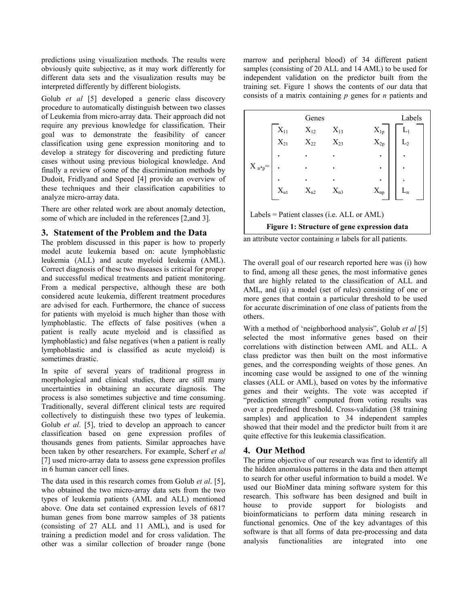predictions using visualization methods. The results were obviously quite subjective, as it may work differently for different data sets and the visualization results may be interpreted differently by different biologists.

Golub *et al* [5] developed a generic class discovery procedure to automatically distinguish between two classes of Leukemia from micro-array data. Their approach did not require any previous knowledge for classification. Their goal was to demonstrate the feasibility of cancer classification using gene expression monitoring and to develop a strategy for discovering and predicting future cases without using previous biological knowledge. And finally a review of some of the discrimination methods by Dudoit, Fridlyand and Speed [4] provide an overview of these techniques and their classification capabilities to analyze micro-array data.

There are other related work are about anomaly detection, some of which are included in the references [2,and 3].

## **3. Statement of the Problem and the Data**

The problem discussed in this paper is how to properly model acute leukemia based on: acute lymphoblastic leukemia (ALL) and acute myeloid leukemia (AML). Correct diagnosis of these two diseases is critical for proper and successful medical treatments and patient monitoring. From a medical perspective, although these are both considered acute leukemia, different treatment procedures are advised for each. Furthermore, the chance of success for patients with myeloid is much higher than those with lymphoblastic. The effects of false positives (when a patient is really acute myeloid and is classified as lymphoblastic) and false negatives (when a patient is really lymphoblastic and is classified as acute myeloid) is sometimes drastic.

In spite of several years of traditional progress in morphological and clinical studies, there are still many uncertainties in obtaining an accurate diagnosis. The process is also sometimes subjective and time consuming. Traditionally, several different clinical tests are required collectively to distinguish these two types of leukemia. Golub *et al*. [5], tried to develop an approach to cancer classification based on gene expression profiles of thousands genes from patients. Similar approaches have been taken by other researchers. For example, Scherf *et al* [7] used micro-array data to assess gene expression profiles in 6 human cancer cell lines.

The data used in this research comes from Golub *et al*. [5], who obtained the two micro-array data sets from the two types of leukemia patients (AML and ALL) mentioned above. One data set contained expression levels of 6817 human genes from bone marrow samples of 38 patients (consisting of 27 ALL and 11 AML), and is used for training a prediction model and for cross validation. The other was a similar collection of broader range (bone

marrow and peripheral blood) of 34 different patient samples (consisting of 20 ALL and 14 AML) to be used for independent validation on the predictor built from the training set. Figure 1 shows the contents of our data that consists of a matrix containing *p* genes for *n* patients and

|                                             |          | Genes    |          |              | Labels |  |  |  |  |
|---------------------------------------------|----------|----------|----------|--------------|--------|--|--|--|--|
|                                             | $X_{11}$ | $X_{12}$ | $X_{13}$ | $X_{1p}$     | $L_1$  |  |  |  |  |
|                                             | $X_{21}$ | $X_{22}$ | $X_{23}$ | $\rm X_{2p}$ |        |  |  |  |  |
|                                             |          |          |          |              |        |  |  |  |  |
| $X_{n^*p}$ =                                |          |          |          | ٠            |        |  |  |  |  |
|                                             |          |          |          |              |        |  |  |  |  |
|                                             | $X_{n1}$ | $X_{n2}$ | $X_{n3}$ | $X_{np}$     |        |  |  |  |  |
|                                             |          |          |          |              |        |  |  |  |  |
| Labels = Patient classes (i.e. ALL or AML)  |          |          |          |              |        |  |  |  |  |
| Figure 1: Structure of gene expression data |          |          |          |              |        |  |  |  |  |

an attribute vector containing *n* labels for all patients.

The overall goal of our research reported here was (i) how to find, among all these genes, the most informative genes that are highly related to the classification of ALL and AML, and (ii) a model (set of rules) consisting of one or more genes that contain a particular threshold to be used for accurate discrimination of one class of patients from the others.

With a method of 'neighborhood analysis", Golub *et al* [5] selected the most informative genes based on their correlations with distinction between AML and ALL. A class predictor was then built on the most informative genes, and the corresponding weights of those genes. An incoming case would be assigned to one of the winning classes (ALL or AML), based on votes by the informative genes and their weights. The vote was accepted if "prediction strength" computed from voting results was over a predefined threshold. Cross-validation (38 training samples) and application to 34 independent samples showed that their model and the predictor built from it are quite effective for this leukemia classification.

# **4. Our Method**

The prime objective of our research was first to identify all the hidden anomalous patterns in the data and then attempt to search for other useful information to build a model. We used our BioMiner data mining software system for this research. This software has been designed and built in house to provide support for biologists and bioinformaticians to perform data mining research in functional genomics. One of the key advantages of this software is that all forms of data pre-processing and data analysis functionalities are integrated into one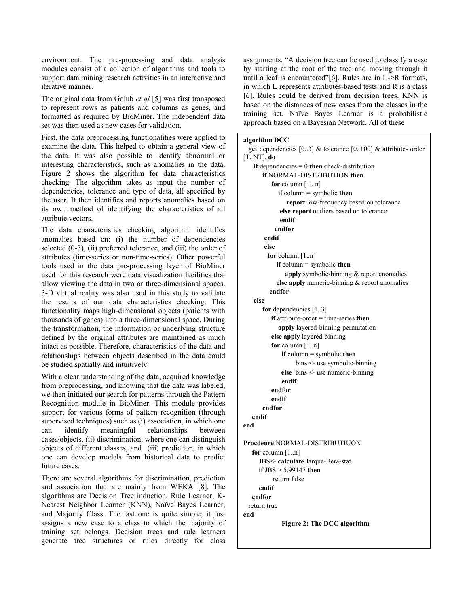environment. The pre-processing and data analysis modules consist of a collection of algorithms and tools to support data mining research activities in an interactive and iterative manner.

The original data from Golub *et al* [5] was first transposed to represent rows as patients and columns as genes, and formatted as required by BioMiner. The independent data set was then used as new cases for validation.

First, the data preprocessing functionalities were applied to examine the data. This helped to obtain a general view of the data. It was also possible to identify abnormal or interesting characteristics, such as anomalies in the data. Figure 2 shows the algorithm for data characteristics checking. The algorithm takes as input the number of dependencies, tolerance and type of data, all specified by the user. It then identifies and reports anomalies based on its own method of identifying the characteristics of all attribute vectors.

The data characteristics checking algorithm identifies anomalies based on: (i) the number of dependencies selected (0-3), (ii) preferred tolerance, and (iii) the order of attributes (time-series or non-time-series). Other powerful tools used in the data pre-processing layer of BioMiner used for this research were data visualization facilities that allow viewing the data in two or three-dimensional spaces. 3-D virtual reality was also used in this study to validate the results of our data characteristics checking. This functionality maps high-dimensional objects (patients with thousands of genes) into a three-dimensional space. During the transformation, the information or underlying structure defined by the original attributes are maintained as much intact as possible. Therefore, characteristics of the data and relationships between objects described in the data could be studied spatially and intuitively.

With a clear understanding of the data, acquired knowledge from preprocessing, and knowing that the data was labeled, we then initiated our search for patterns through the Pattern Recognition module in BioMiner. This module provides support for various forms of pattern recognition (through supervised techniques) such as (i) association, in which one can identify meaningful relationships between cases/objects, (ii) discrimination, where one can distinguish objects of different classes, and (iii) prediction, in which one can develop models from historical data to predict future cases.

There are several algorithms for discrimination, prediction and association that are mainly from WEKA [8]. The algorithms are Decision Tree induction, Rule Learner, K-Nearest Neighbor Learner (KNN), Naïve Bayes Learner, and Majority Class. The last one is quite simple; it just assigns a new case to a class to which the majority of training set belongs. Decision trees and rule learners generate tree structures or rules directly for class

assignments. "A decision tree can be used to classify a case by starting at the root of the tree and moving through it until a leaf is encountered"[6]. Rules are in L->R formats, in which L represents attributes-based tests and R is a class [6]. Rules could be derived from decision trees. KNN is based on the distances of new cases from the classes in the training set. Naïve Bayes Learner is a probabilistic approach based on a Bayesian Network. All of these

### **algorithm DCC**

```
 get dependencies [0..3] & tolerance [0..100] & attribute- order 
[T, NT], do 
    if dependencies = 0 then check-distribution
        if NORMAL-DISTRIBUTION then 
           for column [1.. n]
              if column = symbolic then 
                 report low-frequency based on tolerance 
              else report outliers based on tolerance 
              endif 
            endfor 
         endif 
         else 
          for column [1..n]
             if column = symbolic then 
                apply symbolic-binning & report anomalies 
             else apply numeric-binning & report anomalies 
          endfor 
    else 
        for dependencies [1..3] 
           if attribute-order = time-series then 
              apply layered-binning-permutation 
           else apply layered-binning 
           for column [1..n] 
               if column = symbolic then 
                    bins <- use symbolic-binning 
               else bins <- use numeric-binning 
               endif 
           endfor 
           endif 
        endfor 
    endif
end 
Procdeure NORMAL-DISTRIBUTIUON
    for column [1..n] 
      JBS<- calculate Jarque-Bera-stat 
      if JBS > 5.99147 then
            return false 
      endif 
    endfor 
   return true 
end 
               Figure 2: The DCC algorithm
```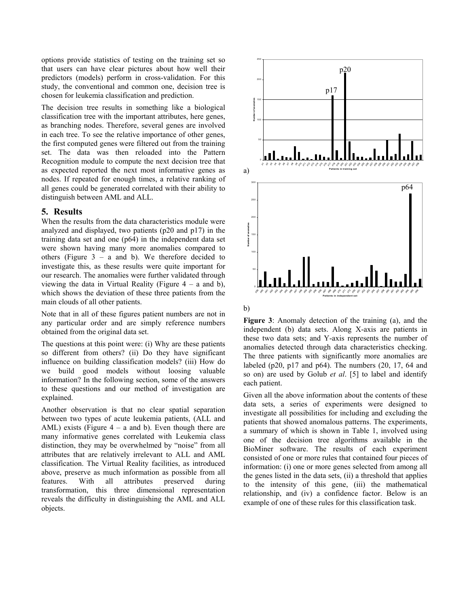options provide statistics of testing on the training set so that users can have clear pictures about how well their predictors (models) perform in cross-validation. For this study, the conventional and common one, decision tree is chosen for leukemia classification and prediction.

The decision tree results in something like a biological classification tree with the important attributes, here genes, as branching nodes. Therefore, several genes are involved in each tree. To see the relative importance of other genes, the first computed genes were filtered out from the training set. The data was then reloaded into the Pattern Recognition module to compute the next decision tree that as expected reported the next most informative genes as nodes. If repeated for enough times, a relative ranking of all genes could be generated correlated with their ability to distinguish between AML and ALL.

### **5. Results**

When the results from the data characteristics module were analyzed and displayed, two patients (p20 and p17) in the training data set and one (p64) in the independent data set were shown having many more anomalies compared to others (Figure  $3 - a$  and b). We therefore decided to investigate this, as these results were quite important for our research. The anomalies were further validated through viewing the data in Virtual Reality (Figure  $4 - a$  and b), which shows the deviation of these three patients from the main clouds of all other patients.

Note that in all of these figures patient numbers are not in any particular order and are simply reference numbers obtained from the original data set.

The questions at this point were: (i) Why are these patients so different from others? (ii) Do they have significant influence on building classification models? (iii) How do we build good models without loosing valuable information? In the following section, some of the answers to these questions and our method of investigation are explained.

Another observation is that no clear spatial separation between two types of acute leukemia patients, (ALL and AML) exists (Figure  $4 - a$  and b). Even though there are many informative genes correlated with Leukemia class distinction, they may be overwhelmed by "noise" from all attributes that are relatively irrelevant to ALL and AML classification. The Virtual Reality facilities, as introduced above, preserve as much information as possible from all features. With all attributes preserved during transformation, this three dimensional representation reveals the difficulty in distinguishing the AML and ALL objects.



b)

**Figure 3**: Anomaly detection of the training (a), and the independent (b) data sets. Along X-axis are patients in these two data sets; and Y-axis represents the number of anomalies detected through data characteristics checking. The three patients with significantly more anomalies are labeled (p20, p17 and p64). The numbers  $(20, 17, 64, 20)$ so on) are used by Golub *et al*. [5] to label and identify each patient.

Given all the above information about the contents of these data sets, a series of experiments were designed to investigate all possibilities for including and excluding the patients that showed anomalous patterns. The experiments, a summary of which is shown in Table 1, involved using one of the decision tree algorithms available in the BioMiner software. The results of each experiment consisted of one or more rules that contained four pieces of information: (i) one or more genes selected from among all the genes listed in the data sets, (ii) a threshold that applies to the intensity of this gene, (iii) the mathematical relationship, and (iv) a confidence factor. Below is an example of one of these rules for this classification task.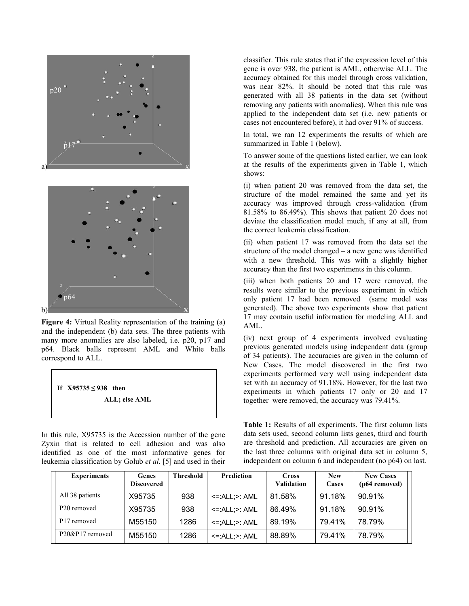

**Figure 4:** Virtual Reality representation of the training (a) and the independent (b) data sets. The three patients with many more anomalies are also labeled, i.e. p20, p17 and p64. Black balls represent AML and White balls correspond to ALL.



In this rule, X95735 is the Accession number of the gene Zyxin that is related to cell adhesion and was also identified as one of the most informative genes for leukemia classification by Golub *et al*. [5] and used in their

classifier. This rule states that if the expression level of this gene is over 938, the patient is AML, otherwise ALL. The accuracy obtained for this model through cross validation, was near 82%. It should be noted that this rule was generated with all 38 patients in the data set (without removing any patients with anomalies). When this rule was applied to the independent data set (i.e. new patients or cases not encountered before), it had over 91% of success.

In total, we ran 12 experiments the results of which are summarized in Table 1 (below).

To answer some of the questions listed earlier, we can look at the results of the experiments given in Table 1, which shows:

(i) when patient 20 was removed from the data set, the structure of the model remained the same and yet its accuracy was improved through cross-validation (from 81.58% to 86.49%). This shows that patient 20 does not deviate the classification model much, if any at all, from the correct leukemia classification.

(ii) when patient 17 was removed from the data set the structure of the model changed – a new gene was identified with a new threshold. This was with a slightly higher accuracy than the first two experiments in this column.

(iii) when both patients 20 and 17 were removed, the results were similar to the previous experiment in which only patient 17 had been removed (same model was generated). The above two experiments show that patient 17 may contain useful information for modeling ALL and AML.

(iv) next group of 4 experiments involved evaluating previous generated models using independent data (group of 34 patients). The accuracies are given in the column of New Cases. The model discovered in the first two experiments performed very well using independent data set with an accuracy of 91.18%. However, for the last two experiments in which patients 17 only or 20 and 17 together were removed, the accuracy was 79.41%.

**Table 1:** Results of all experiments. The first column lists data sets used, second column lists genes, third and fourth are threshold and prediction. All accuracies are given on the last three columns with original data set in column 5, independent on column 6 and independent (no p64) on last.

| <b>Experiments</b>      | <b>Genes</b><br><b>Discovered</b> | <b>Threshold</b> | Prediction                  | <b>Cross</b><br><b>Validation</b> | <b>New</b><br>Cases | <b>New Cases</b><br>(p64 removed) |
|-------------------------|-----------------------------------|------------------|-----------------------------|-----------------------------------|---------------------|-----------------------------------|
| All 38 patients         | X95735                            | 938              | $\le$ : $ALL$ : $\ge$ : AML | 81.58%                            | 91.18%              | 90.91%                            |
| P20 removed             | X95735                            | 938              | $\le$ =:ALL; $\ge$ : AML    | 86.49%                            | 91.18%              | 90.91%                            |
| P <sub>17</sub> removed | M55150                            | 1286             | $\le$ =; ALL; $>$ : AML     | 89.19%                            | 79.41%              | 78.79%                            |
| P20&P17 removed         | M55150                            | 1286             | $\le$ : $ALL$ : $\ge$ : AML | 88.89%                            | 79.41%              | 78.79%                            |